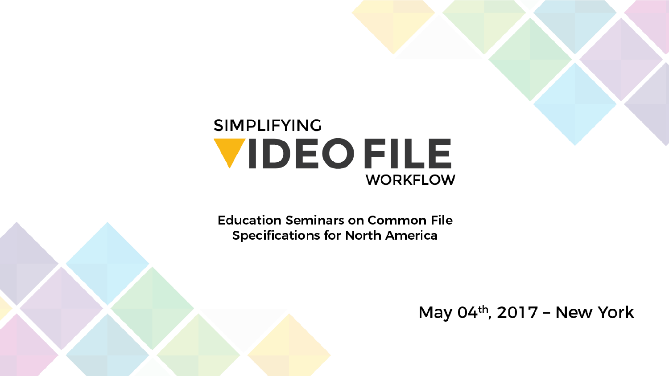#### **SIMPLIFYING VIDEOFILE WORKFLOW**

**Education Seminars on Common File Specifications for North America** 

May  $04<sup>th</sup>$ , 2017 - New York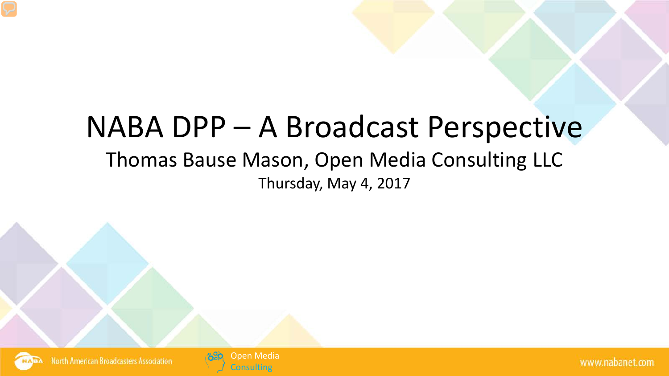#### NABA DPP – A Broadcast Perspective

#### Thomas Bause Mason, Open Media Consulting LLC Thursday, May 4, 2017



**North American Broadcasters Association** 

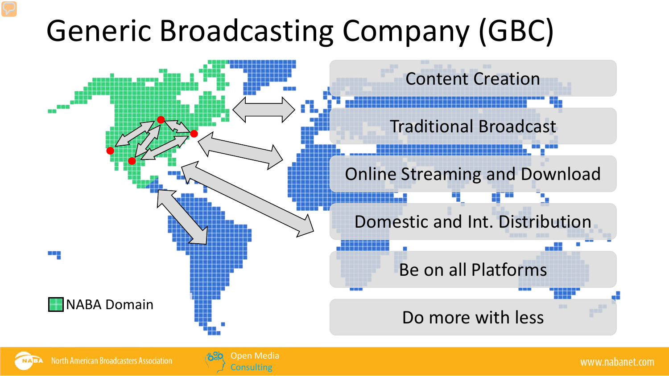### Generic Broadcasting Company (GBC)



Open Media **Consulting**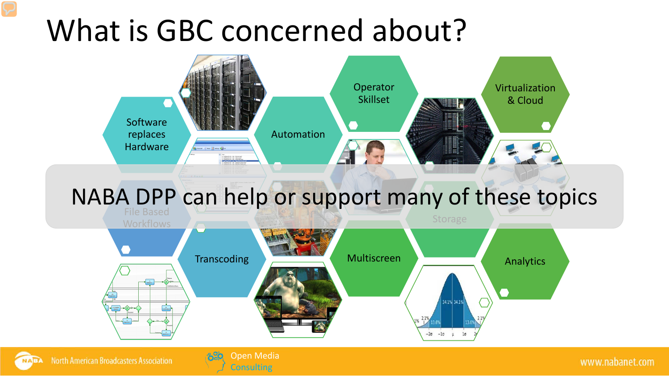#### What is GBC concerned about?



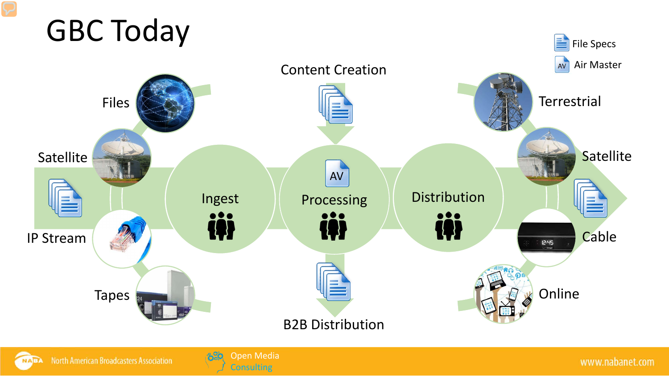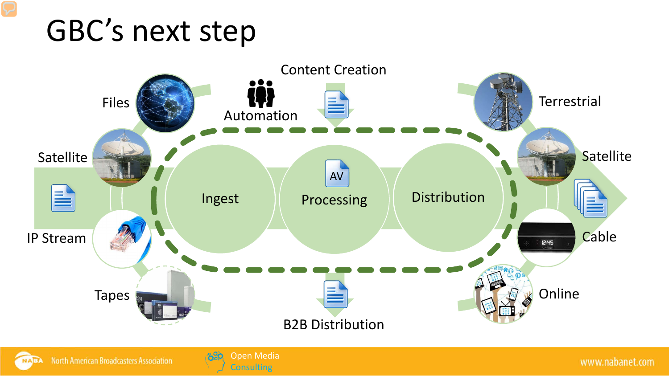#### GBC's next step



Open Media **Consulting**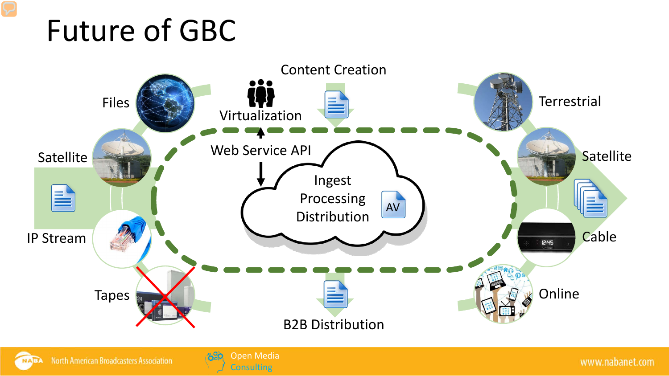#### Future of GBC



Open Media **Consulting**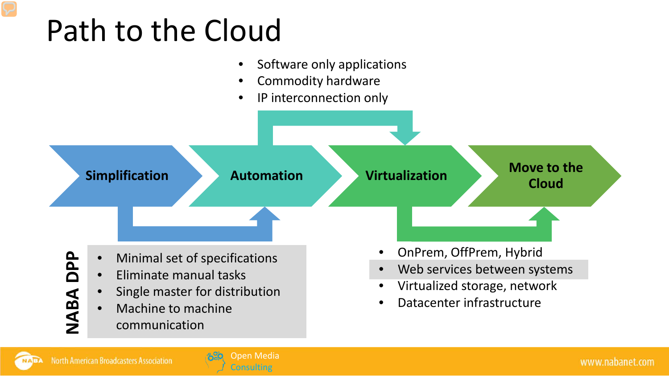### Path to the Cloud



Open Media onsulting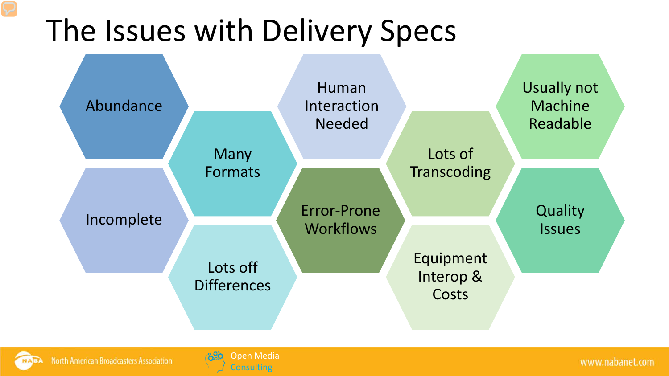#### The Issues with Delivery Specs

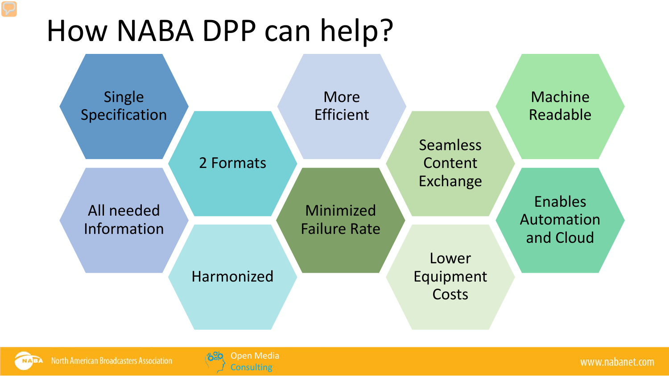#### How NABA DPP can help?

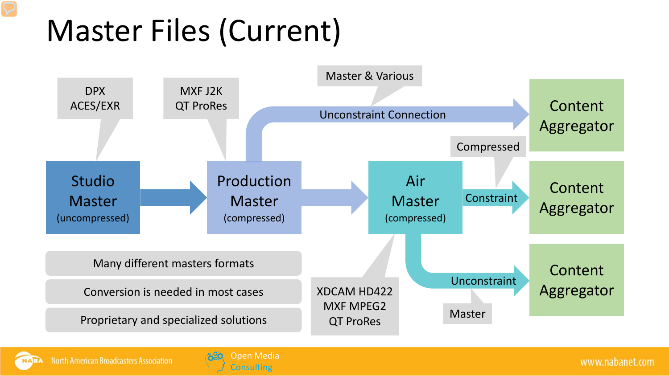### Master Files (Current)





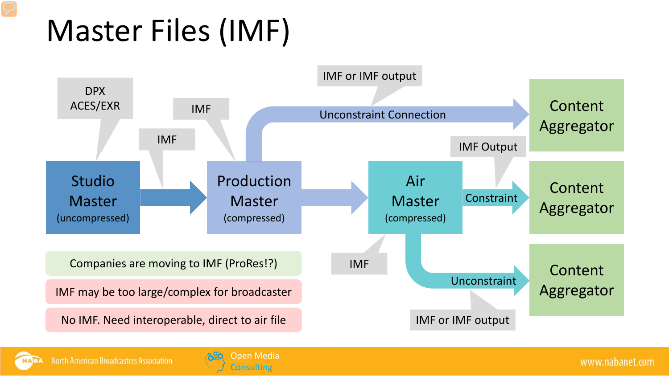## Master Files (IMF)





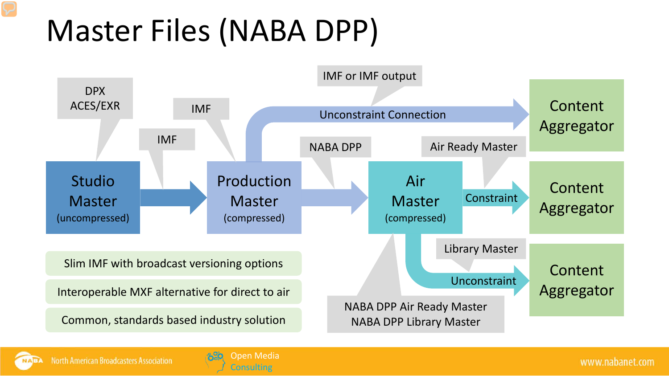## Master Files (NABA DPP)





**North American Broadcasters Association** 

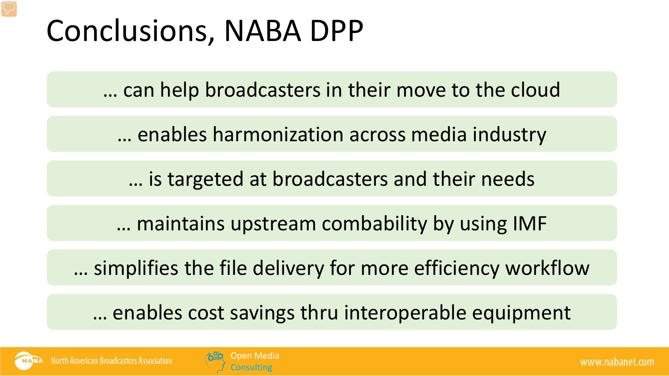#### Conclusions, NABA DPP

… can help broadcasters in their move to the cloud

… enables harmonization across media industry

… is targeted at broadcasters and their needs

… maintains upstream combability by using IMF

… simplifies the file delivery for more efficiency workflow

… enables cost savings thru interoperable equipment